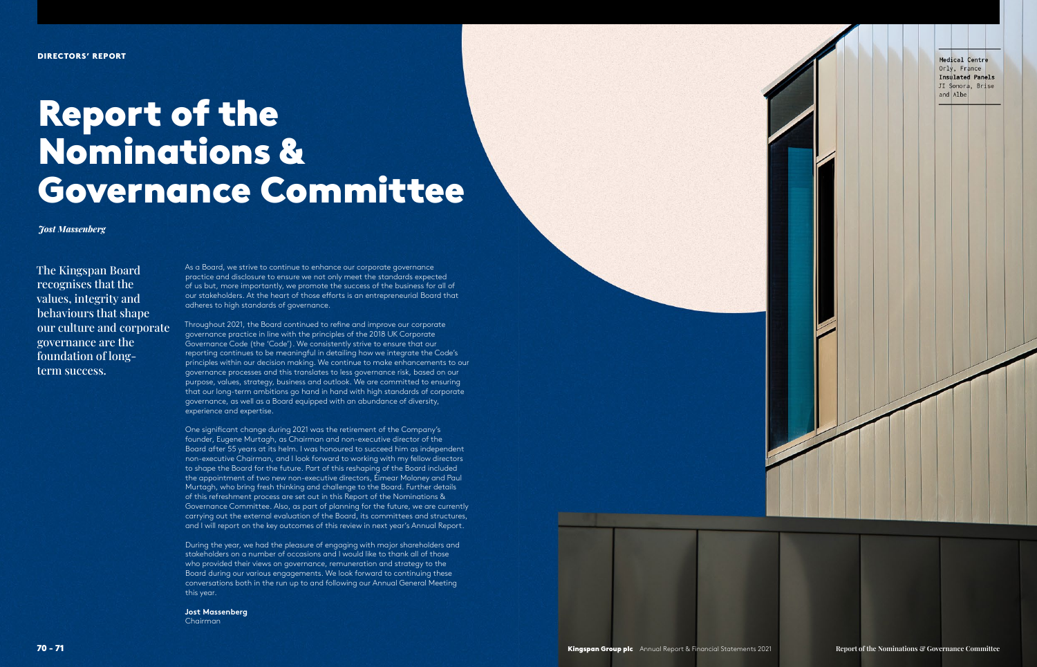The Kingspan Board recognises that the values, integrity and behaviours that shape our culture and corporate governance are the foundation of longterm success.

As a Board, we strive to continue to enhance our corporate governance practice and disclosure to ensure we not only meet the standards expected of us but, more importantly, we promote the success of the business for all of our stakeholders. At the heart of those eforts is an entrepreneurial Board that adheres to high standards of governance.

Throughout 2021, the Board continued to refne and improve our corporate governance practice in line with the principles of the 2018 UK Corporate Governance Code (the 'Code'). We consistently strive to ensure that our reporting continues to be meaningful in detailing how we integrate the Code's principles within our decision making. We continue to make enhancements to our governance processes and this translates to less governance risk, based on our purpose, values, strategy, business and outlook. We are committed to ensuring that our long-term ambitions go hand in hand with high standards of corporate governance, as well as a Board equipped with an abundance of diversity, experience and expertise.

One signifcant change during 2021 was the retirement of the Company's founder, Eugene Murtagh, as Chairman and non-executive director of the Board after 55 years at its helm. I was honoured to succeed him as independent non-executive Chairman, and I look forward to working with my fellow directors to shape the Board for the future. Part of this reshaping of the Board included the appointment of two new non-executive directors, Éimear Moloney and Paul Murtagh, who bring fresh thinking and challenge to the Board. Further details of this refreshment process are set out in this Report of the Nominations & Governance Committee. Also, as part of planning for the future, we are currently carrying out the external evaluation of the Board, its committees and structures, and I will report on the key outcomes of this review in next year's Annual Report.

During the year, we had the pleasure of engaging with major shareholders and stakeholders on a number of occasions and I would like to thank all of those who provided their views on governance, remuneration and strategy to the Board during our various engagements. We look forward to continuing these conversations both in the run up to and following our Annual General Meeting this year.

# **Jost Massenberg**

Chairman



# Report of the Nominations & Governance Committee

*Jost Massenberg*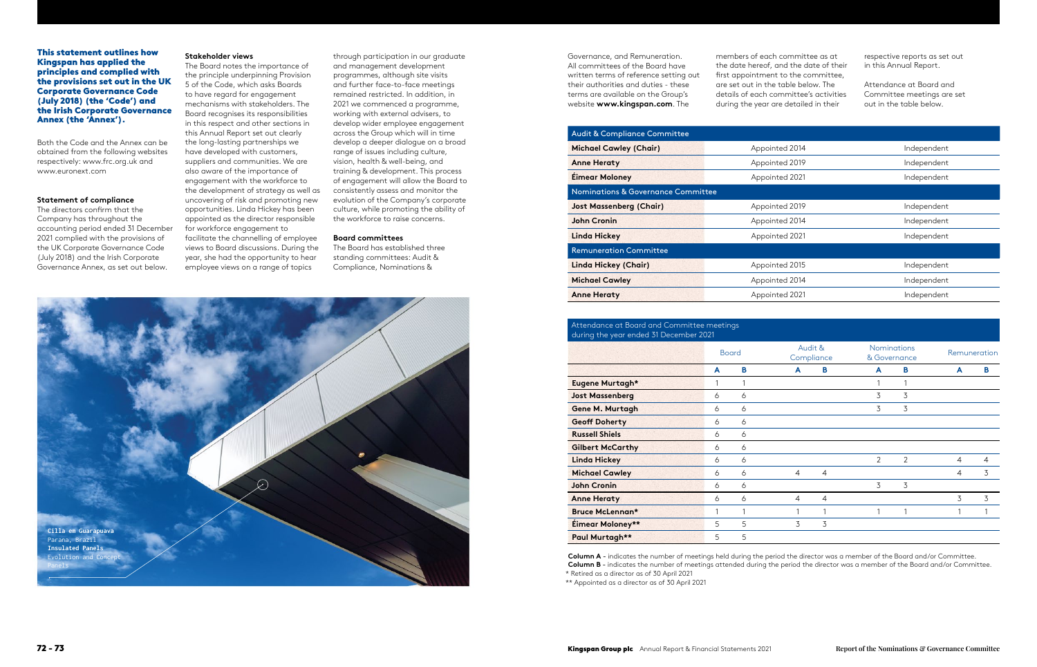## This statement outlines how Kingspan has applied the principles and complied with the provisions set out in the UK Corporate Governance Code (July 2018) (the 'Code') and the Irish Corporate Governance Annex (the 'Annex').

Both the Code and the Annex can be obtained from the following websites respectively: [www.frc.org.uk an](http://www.frc.org.uk)d [www.euronext.com](http://www.euronext.com)

#### **Statement of compliance**

The directors confrm that the Company has throughout the accounting period ended 31 December 2021 complied with the provisions of the UK Corporate Governance Code (July 2018) and the Irish Corporate Governance Annex, as set out below.

Governance, and Remuneration. All committees of the Board have written terms of reference setting out their authorities and duties - these terms are available on the Group's website **[www.kingspan.com](http://www.kingspan.com)**. The

#### **Stakeholder views**

The Board notes the importance of the principle underpinning Provision 5 of the Code, which asks Boards to have regard for engagement mechanisms with stakeholders. The Board recognises its responsibilities in this respect and other sections in this Annual Report set out clearly the long-lasting partnerships we have developed with customers, suppliers and communities. We are also aware of the importance of engagement with the workforce to the development of strategy as well as uncovering of risk and promoting new opportunities. Linda Hickey has been appointed as the director responsible for workforce engagement to facilitate the channelling of employee views to Board discussions. During the year, she had the opportunity to hear employee views on a range of topics

through participation in our graduate and management development programmes, although site visits and further face-to-face meetings remained restricted. In addition, in 2021 we commenced a programme, working with external advisers, to develop wider employee engagement across the Group which will in time develop a deeper dialogue on a broad range of issues including culture, vision, health & well-being, and training & development. This process of engagement will allow the Board to consistently assess and monitor the evolution of the Company's corporate culture, while promoting the ability of the workforce to raise concerns.

#### **Board committees**

The Board has established three standing committees: Audit & Compliance, Nominations &

members of each committee as at the date hereof, and the date of their first appointment to the committee. are set out in the table below. The details of each committee's activities during the year are detailed in their

respective reports as set out in this Annual Report.

Attendance at Board and Committee meetings are set out in the table below.



| <b>Audit &amp; Compliance Committee</b>       |                |             |  |  |  |  |
|-----------------------------------------------|----------------|-------------|--|--|--|--|
| <b>Michael Cawley (Chair)</b>                 | Appointed 2014 | Independent |  |  |  |  |
| <b>Anne Heraty</b>                            | Appointed 2019 | Independent |  |  |  |  |
| <b>Éimear Moloney</b>                         | Appointed 2021 | Independent |  |  |  |  |
| <b>Nominations &amp; Governance Committee</b> |                |             |  |  |  |  |
| <b>Jost Massenberg (Chair)</b>                | Appointed 2019 | Independent |  |  |  |  |
| <b>John Cronin</b>                            | Appointed 2014 | Independent |  |  |  |  |
| <b>Linda Hickey</b>                           | Appointed 2021 | Independent |  |  |  |  |
| <b>Remuneration Committee</b>                 |                |             |  |  |  |  |
| Linda Hickey (Chair)                          | Appointed 2015 | Independent |  |  |  |  |
| <b>Michael Cawley</b>                         | Appointed 2014 | Independent |  |  |  |  |
| <b>Anne Heraty</b>                            | Appointed 2021 | Independent |  |  |  |  |

Attendance at Board and Committee meetings

| Attendance at Board and Committee meetings.<br>during the year ended 31 December 2021 |              |   |                |                       |                |                                    |                |                |  |
|---------------------------------------------------------------------------------------|--------------|---|----------------|-----------------------|----------------|------------------------------------|----------------|----------------|--|
|                                                                                       | <b>Board</b> |   |                | Audit &<br>Compliance |                | <b>Nominations</b><br>& Governance |                | Remuneration   |  |
|                                                                                       | A            | в | A              | в                     | A              | в                                  | A              | В              |  |
| Eugene Murtagh*                                                                       |              |   |                |                       |                |                                    |                |                |  |
| <b>Jost Massenberg</b>                                                                | 6            | 6 |                |                       | 3              | 3                                  |                |                |  |
| Gene M. Murtagh                                                                       | 6            | 6 |                |                       | 3              | 3                                  |                |                |  |
| <b>Geoff Doherty</b>                                                                  | 6            | 6 |                |                       |                |                                    |                |                |  |
| <b>Russell Shiels</b>                                                                 | 6            | 6 |                |                       |                |                                    |                |                |  |
| <b>Gilbert McCarthy</b>                                                               | 6            | 6 |                |                       |                |                                    |                |                |  |
| <b>Linda Hickey</b>                                                                   | 6            | 6 |                |                       | $\overline{2}$ | $\overline{2}$                     | $\overline{4}$ | $\overline{4}$ |  |
| <b>Michael Cawley</b>                                                                 | 6            | 6 | $\overline{4}$ | $\overline{4}$        |                |                                    | $\overline{4}$ | 3              |  |
| <b>John Cronin</b>                                                                    | 6            | 6 |                |                       | 3              | 3                                  |                |                |  |
| <b>Anne Heraty</b>                                                                    | 6            | 6 | $\overline{4}$ | 4                     |                |                                    | 3              | 3              |  |
| Bruce McLennan*                                                                       |              |   |                | 1                     |                |                                    |                |                |  |
| Éimear Moloney**                                                                      | 5            | 5 | 3              | 3                     |                |                                    |                |                |  |
| Paul Murtagh**                                                                        | 5            | 5 |                |                       |                |                                    |                |                |  |

**Column A** - indicates the number of meetings held during the period the director was a member of the Board and/or Committee. **Column B** - indicates the number of meetings attended during the period the director was a member of the Board and/or Committee.

\* Retired as a director as of 30 April 2021

\*\* Appointed as a director as of 30 April 2021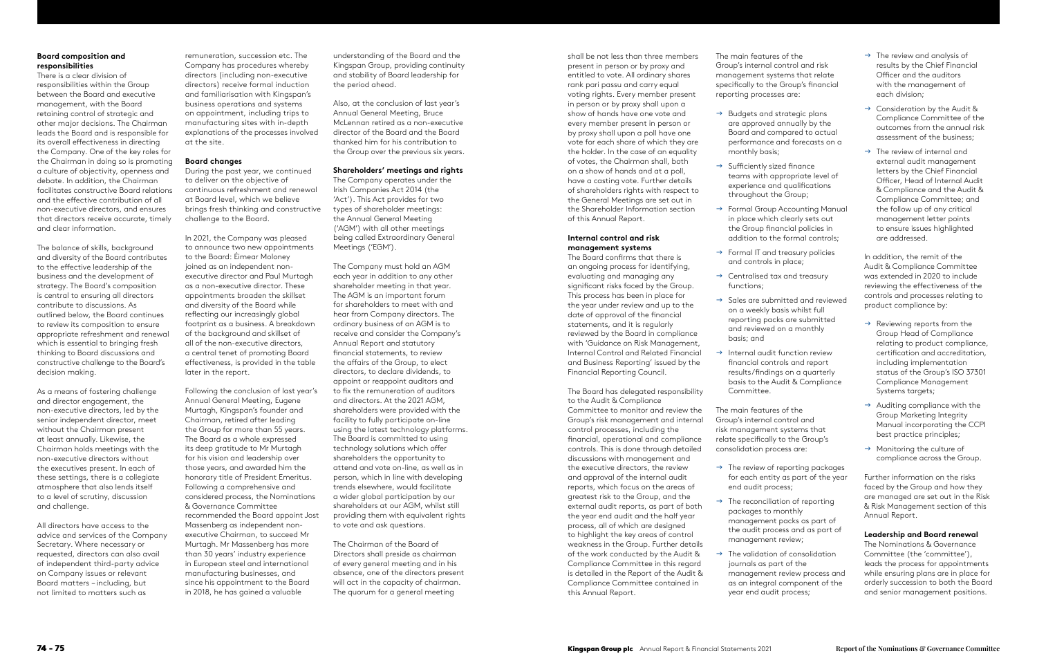# **Board composition and responsibilities**

There is a clear division of responsibilities within the Group between the Board and executive management, with the Board retaining control of strategic and other major decisions. The Chairman leads the Board and is responsible for its overall effectiveness in directing the Company. One of the key roles for the Chairman in doing so is promoting a culture of objectivity, openness and debate. In addition, the Chairman facilitates constructive Board relations and the efective contribution of all non-executive directors, and ensures that directors receive accurate, timely and clear information.

The balance of skills, background and diversity of the Board contributes to the efective leadership of the business and the development of strategy. The Board's composition is central to ensuring all directors contribute to discussions. As outlined below, the Board continues to review its composition to ensure appropriate refreshment and renewal which is essential to bringing fresh thinking to Board discussions and constructive challenge to the Board's decision making.

As a means of fostering challenge and director engagement, the non-executive directors, led by the senior independent director, meet without the Chairman present at least annually. Likewise, the Chairman holds meetings with the non-executive directors without the executives present. In each of these settings, there is a collegiate atmosphere that also lends itself to a level of scrutiny, discussion and challenge.

All directors have access to the advice and services of the Company Secretary. Where necessary or requested, directors can also avail of independent third-party advice on Company issues or relevant Board matters – including, but not limited to matters such as

shall be not less than three members present in person or by proxy and entitled to vote. All ordinary shares rank pari passu and carry equal voting rights. Every member present in person or by proxy shall upon a show of hands have one vote and every member present in person or by proxy shall upon a poll have one vote for each share of which they are the holder. In the case of an equality of votes, the Chairman shall, both on a show of hands and at a poll, have a casting vote. Further details of shareholders rights with respect to the General Meetings are set out in the Shareholder Information section of this Annual Report.

- $\rightarrow$  Budgets and strategic plans are approved annually by the Board and compared to actual performance and forecasts on a monthly basis;
- $\rightarrow$  Sufficiently sized finance teams with appropriate level of experience and qualifcations throughout the Group;
- $\rightarrow$  Formal Group Accounting Manual in place which clearly sets out the Group fnancial policies in addition to the formal controls;
- $\rightarrow$  Formal IT and treasury policies and controls in place;
- $\rightarrow$  Centralised tax and treasury functions;
- $\rightarrow$  Sales are submitted and reviewed on a weekly basis whilst full reporting packs are submitted and reviewed on a monthly basis; and
- $\rightarrow$  Internal audit function review fnancial controls and report results/fndings on a quarterly basis to the Audit & Compliance Committee.

#### **Internal control and risk management systems**

- $\rightarrow$  The review of reporting packages for each entity as part of the year end audit process;
- $\rightarrow$  The reconciliation of reporting packages to monthly management packs as part of the audit process and as part of management review;
- $\rightarrow$  The validation of consolidation journals as part of the management review process and as an integral component of the year end audit process;

The Board confrms that there is an ongoing process for identifying, evaluating and managing any signifcant risks faced by the Group. This process has been in place for the year under review and up to the date of approval of the fnancial statements, and it is regularly reviewed by the Board in compliance with 'Guidance on Risk Management, Internal Control and Related Financial and Business Reporting' issued by the Financial Reporting Council.

- $\rightarrow$  The review and analysis of results by the Chief Financial Officer and the auditors with the management of each division;
- $\rightarrow$  Consideration by the Audit & Compliance Committee of the outcomes from the annual risk assessment of the business;
- $\rightarrow$  The review of internal and external audit management letters by the Chief Financial Officer, Head of Internal Audit & Compliance and the Audit & Compliance Committee; and the follow up of any critical management letter points to ensure issues highlighted are addressed.

- $\rightarrow$  Reviewing reports from the Group Head of Compliance relating to product compliance, certifcation and accreditation, including implementation status of the Group's ISO 37301 Compliance Management Systems targets;
- $\rightarrow$  Auditing compliance with the Group Marketing Integrity Manual incorporating the CCPI best practice principles;
- $\rightarrow$  Monitoring the culture of compliance across the Group.

The Board has delegated responsibility to the Audit & Compliance Committee to monitor and review the Group's risk management and internal control processes, including the fnancial, operational and compliance controls. This is done through detailed discussions with management and the executive directors, the review and approval of the internal audit reports, which focus on the areas of greatest risk to the Group, and the external audit reports, as part of both the year end audit and the half year process, all of which are designed to highlight the key areas of control weakness in the Group. Further details of the work conducted by the Audit & Compliance Committee in this regard is detailed in the Report of the Audit & Compliance Committee contained in this Annual Report.

The main features of the Group's internal control and risk management systems that relate specifcally to the Group's fnancial reporting processes are:

The main features of the Group's internal control and risk management systems that relate specifically to the Group's consolidation process are:

In addition, the remit of the Audit & Compliance Committee was extended in 2020 to include reviewing the efectiveness of the controls and processes relating to product compliance by:

Further information on the risks faced by the Group and how they are managed are set out in the Risk & Risk Management section of this Annual Report.

# **Leadership and Board renewal**

The Nominations & Governance Committee (the 'committee'), leads the process for appointments while ensuring plans are in place for orderly succession to both the Board and senior management positions.

remuneration, succession etc. The Company has procedures whereby directors (including non-executive directors) receive formal induction and familiarisation with Kingspan's business operations and systems on appointment, including trips to manufacturing sites with in-depth explanations of the processes involved at the site.

# **Board changes**

During the past year, we continued to deliver on the objective of continuous refreshment and renewal at Board level, which we believe brings fresh thinking and constructive challenge to the Board.

In 2021, the Company was pleased to announce two new appointments to the Board: Éimear Moloney joined as an independent nonexecutive director and Paul Murtagh as a non-executive director. These appointments broaden the skillset and diversity of the Board while refecting our increasingly global footprint as a business. A breakdown of the background and skillset of all of the non-executive directors, a central tenet of promoting Board efectiveness, is provided in the table later in the report.

Following the conclusion of last year's Annual General Meeting, Eugene Murtagh, Kingspan's founder and Chairman, retired after leading the Group for more than 55 years. The Board as a whole expressed its deep gratitude to Mr Murtagh for his vision and leadership over those years, and awarded him the honorary title of President Emeritus. Following a comprehensive and considered process, the Nominations & Governance Committee recommended the Board appoint Jost Massenberg as independent nonexecutive Chairman, to succeed Mr Murtagh. Mr Massenberg has more than 30 years' industry experience in European steel and international manufacturing businesses, and since his appointment to the Board in 2018, he has gained a valuable

understanding of the Board and the Kingspan Group, providing continuity and stability of Board leadership for the period ahead.

Also, at the conclusion of last year's Annual General Meeting, Bruce McLennan retired as a non-executive director of the Board and the Board thanked him for his contribution to the Group over the previous six years.

## **Shareholders' meetings and rights**

The Company operates under the Irish Companies Act 2014 (the 'Act'). This Act provides for two types of shareholder meetings: the Annual General Meeting ('AGM') with all other meetings being called Extraordinary General Meetings ('EGM').

The Company must hold an AGM each year in addition to any other shareholder meeting in that year. The AGM is an important forum for shareholders to meet with and hear from Company directors. The ordinary business of an AGM is to receive and consider the Company's Annual Report and statutory fnancial statements, to review the affairs of the Group, to elect directors, to declare dividends, to appoint or reappoint auditors and to fix the remuneration of auditors and directors. At the 2021 AGM, shareholders were provided with the facility to fully participate on-line using the latest technology platforms. The Board is committed to using technology solutions which offer shareholders the opportunity to attend and vote on-line, as well as in person, which in line with developing trends elsewhere, would facilitate a wider global participation by our shareholders at our AGM, whilst still providing them with equivalent rights to vote and ask questions.

The Chairman of the Board of Directors shall preside as chairman of every general meeting and in his absence, one of the directors present will act in the capacity of chairman. The quorum for a general meeting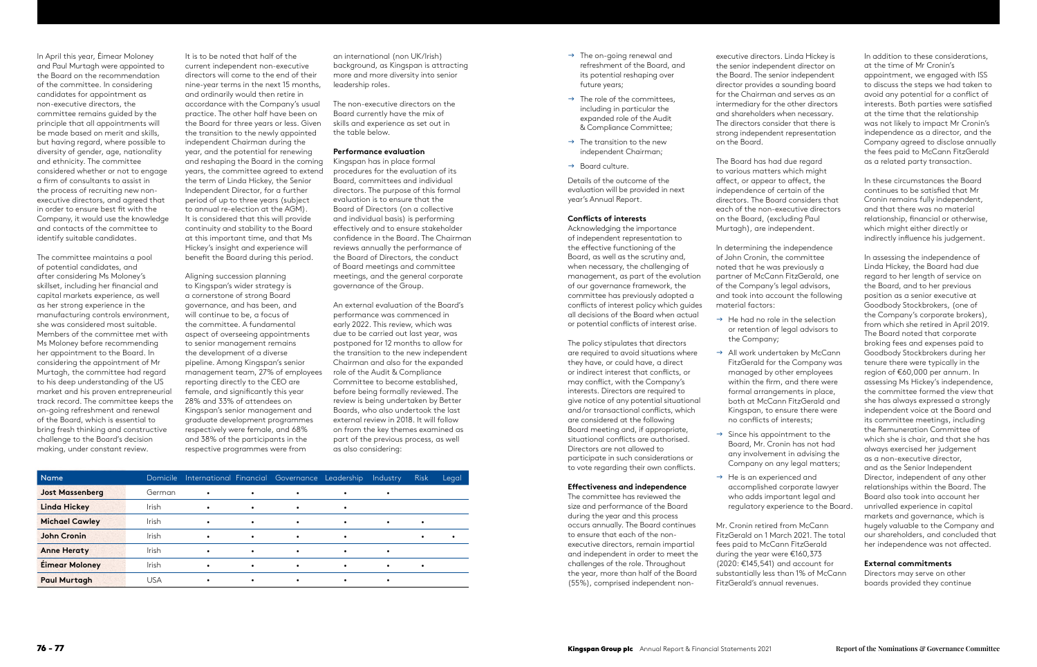In April this year, Éimear Moloney and Paul Murtagh were appointed to the Board on the recommendation of the committee. In considering candidates for appointment as non-executive directors, the committee remains guided by the principle that all appointments will be made based on merit and skills, but having regard, where possible to diversity of gender, age, nationality and ethnicity. The committee considered whether or not to engage a frm of consultants to assist in the process of recruiting new nonexecutive directors, and agreed that in order to ensure best fit with the Company, it would use the knowledge and contacts of the committee to identify suitable candidates.

The committee maintains a pool of potential candidates, and after considering Ms Moloney's skillset, including her fnancial and capital markets experience, as well as her strong experience in the manufacturing controls environment, she was considered most suitable. Members of the committee met with Ms Moloney before recommending her appointment to the Board. In considering the appointment of Mr Murtagh, the committee had regard to his deep understanding of the US market and his proven entrepreneurial track record. The committee keeps the on-going refreshment and renewal of the Board, which is essential to bring fresh thinking and constructive challenge to the Board's decision making, under constant review.

It is to be noted that half of the current independent non-executive directors will come to the end of their nine-year terms in the next 15 months, and ordinarily would then retire in accordance with the Company's usual practice. The other half have been on the Board for three years or less. Given the transition to the newly appointed independent Chairman during the year, and the potential for renewing and reshaping the Board in the coming years, the committee agreed to extend the term of Linda Hickey, the Senior Independent Director, for a further period of up to three years (subject to annual re-election at the AGM). It is considered that this will provide continuity and stability to the Board at this important time, and that Ms Hickey's insight and experience will beneft the Board during this period.

Aligning succession planning to Kingspan's wider strategy is a cornerstone of strong Board governance, and has been, and will continue to be, a focus of the committee. A fundamental aspect of overseeing appointments to senior management remains the development of a diverse pipeline. Among Kingspan's senior management team, 27% of employees reporting directly to the CEO are female, and significantly this year 28% and 33% of attendees on Kingspan's senior management and graduate development programmes respectively were female, and 68% and 38% of the participants in the respective programmes were from

an international (non UK/Irish) background, as Kingspan is attracting more and more diversity into senior leadership roles.

The non-executive directors on the Board currently have the mix of skills and experience as set out in the table below.

# **Performance evaluation**

Kingspan has in place formal procedures for the evaluation of its Board, committees and individual directors. The purpose of this formal evaluation is to ensure that the Board of Directors (on a collective and individual basis) is performing effectively and to ensure stakeholder confdence in the Board. The Chairman reviews annually the performance of the Board of Directors, the conduct of Board meetings and committee meetings, and the general corporate governance of the Group.

- $\rightarrow$  He had no role in the selection or retention of legal advisors to the Company;
- $\rightarrow$  All work undertaken by McCann managed by other employees within the firm, and there were formal arrangements in place, both at McCann FitzGerald and Kingspan, to ensure there were no conficts of interests;
- $\rightarrow$  Since his appointment to the Board, Mr. Cronin has not had any involvement in advising the Company on any legal matters;
- $\rightarrow$  He is an experienced and accomplished corporate lawyer who adds important legal and
- Mr. Cronin retired from McCann FitzGerald on 1 March 2021. The total fees paid to McCann FitzGerald during the year were €160,373 (2020: €145,541) and account for substantially less than 1% of McCann FitzGerald's annual revenues.

An external evaluation of the Board's performance was commenced in early 2022. This review, which was due to be carried out last year, was postponed for 12 months to allow for the transition to the new independent Chairman and also for the expanded role of the Audit & Compliance Committee to become established, before being formally reviewed. The review is being undertaken by Better Boards, who also undertook the last external review in 2018. It will follow on from the key themes examined as part of the previous process, as well as also considering:

Details of the outcome of the evaluation will be provided in next year's Annual Report.

#### **Conficts of interests**

Acknowledging the importance of independent representation to the effective functioning of the Board, as well as the scrutiny and, when necessary, the challenging of management, as part of the evolution of our governance framework, the committee has previously adopted a conficts of interest policy which guides all decisions of the Board when actual or potential conficts of interest arise.

The policy stipulates that directors are required to avoid situations where they have, or could have, a direct or indirect interest that conficts, or may confict, with the Company's interests. Directors are required to give notice of any potential situational and/or transactional conficts, which are considered at the following Board meeting and, if appropriate, situational conficts are authorised. Directors are not allowed to participate in such considerations or to vote regarding their own conficts.

#### **Efectiveness and independence**

The committee has reviewed the size and performance of the Board during the year and this process occurs annually. The Board continues to ensure that each of the nonexecutive directors, remain impartial and independent in order to meet the challenges of the role. Throughout the year, more than half of the Board (55%), comprised independent non-

| Name.                  | Domicile     |           |           | International Financial Governance | Leadership | Industry  | <b>Risk</b> | Legal |
|------------------------|--------------|-----------|-----------|------------------------------------|------------|-----------|-------------|-------|
| <b>Jost Massenberg</b> | German       | $\bullet$ | $\bullet$ | $\bullet$                          | $\bullet$  |           |             |       |
| <b>Linda Hickey</b>    | <b>Irish</b> | $\bullet$ | $\bullet$ | $\bullet$                          | ٠          |           |             |       |
| <b>Michael Cawley</b>  | <b>Irish</b> | $\bullet$ | $\bullet$ | $\bullet$                          | ٠          | $\bullet$ |             |       |
| <b>John Cronin</b>     | <b>Irish</b> |           | $\bullet$ | ٠                                  | ٠          |           |             |       |
| <b>Anne Heraty</b>     | <b>Irish</b> |           | $\bullet$ | $\bullet$                          | $\bullet$  |           |             |       |
| <b>Éimear Moloney</b>  | Irish        | $\bullet$ | $\bullet$ | ٠                                  | ٠          | ٠         |             |       |
| <b>Paul Murtagh</b>    | USA          |           | $\bullet$ |                                    | ٠          |           |             |       |

- $\rightarrow$  The on-going renewal and refreshment of the Board, and its potential reshaping over future years;
- $\rightarrow$  The role of the committees, including in particular the expanded role of the Audit & Compliance Committee;
- $\rightarrow$  The transition to the new independent Chairman;
- $\rightarrow$  Board culture.

executive directors. Linda Hickey is the senior independent director on the Board. The senior independent director provides a sounding board for the Chairman and serves as an intermediary for the other directors and shareholders when necessary. The directors consider that there is strong independent representation on the Board.

The Board has had due regard to various matters which might afect, or appear to afect, the independence of certain of the directors. The Board considers that each of the non-executive directors on the Board, (excluding Paul Murtagh), are independent.

In determining the independence of John Cronin, the committee noted that he was previously a partner of McCann FitzGerald, one of the Company's legal advisors, and took into account the following material factors:

FitzGerald for the Company was

regulatory experience to the Board.

In addition to these considerations, at the time of Mr Cronin's appointment, we engaged with ISS to discuss the steps we had taken to avoid any potential for a confict of interests. Both parties were satisfed at the time that the relationship was not likely to impact Mr Cronin's independence as a director, and the Company agreed to disclose annually the fees paid to McCann FitzGerald as a related party transaction.

In these circumstances the Board continues to be satisfed that Mr Cronin remains fully independent, and that there was no material relationship, fnancial or otherwise, which might either directly or indirectly infuence his judgement.

In assessing the independence of Linda Hickey, the Board had due regard to her length of service on the Board, and to her previous position as a senior executive at Goodbody Stockbrokers, (one of the Company's corporate brokers), from which she retired in April 2019. The Board noted that corporate broking fees and expenses paid to Goodbody Stockbrokers during her tenure there were typically in the region of €60,000 per annum. In assessing Ms Hickey's independence, the committee formed the view that she has always expressed a strongly independent voice at the Board and its committee meetings, including the Remuneration Committee of which she is chair, and that she has always exercised her judgement as a non-executive director, and as the Senior Independent Director, independent of any other relationships within the Board. The Board also took into account her unrivalled experience in capital markets and governance, which is hugely valuable to the Company and our shareholders, and concluded that her independence was not afected.

#### **External commitments**

Directors may serve on other boards provided they continue